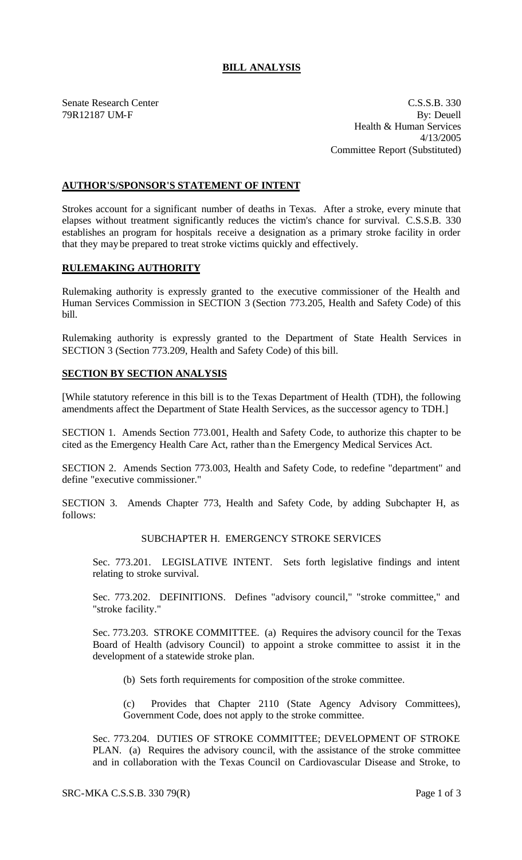# **BILL ANALYSIS**

Senate Research Center C.S.S.B. 330 79R12187 UM-F By: Deuell Health & Human Services 4/13/2005 Committee Report (Substituted)

## **AUTHOR'S/SPONSOR'S STATEMENT OF INTENT**

Strokes account for a significant number of deaths in Texas. After a stroke, every minute that elapses without treatment significantly reduces the victim's chance for survival. C.S.S.B. 330 establishes an program for hospitals receive a designation as a primary stroke facility in order that they may be prepared to treat stroke victims quickly and effectively.

### **RULEMAKING AUTHORITY**

Rulemaking authority is expressly granted to the executive commissioner of the Health and Human Services Commission in SECTION 3 (Section 773.205, Health and Safety Code) of this bill.

Rulemaking authority is expressly granted to the Department of State Health Services in SECTION 3 (Section 773.209, Health and Safety Code) of this bill.

### **SECTION BY SECTION ANALYSIS**

[While statutory reference in this bill is to the Texas Department of Health (TDH), the following amendments affect the Department of State Health Services, as the successor agency to TDH.]

SECTION 1. Amends Section 773.001, Health and Safety Code, to authorize this chapter to be cited as the Emergency Health Care Act, rather than the Emergency Medical Services Act.

SECTION 2. Amends Section 773.003, Health and Safety Code, to redefine "department" and define "executive commissioner."

SECTION 3. Amends Chapter 773, Health and Safety Code, by adding Subchapter H, as follows:

#### SUBCHAPTER H. EMERGENCY STROKE SERVICES

Sec. 773.201. LEGISLATIVE INTENT. Sets forth legislative findings and intent relating to stroke survival.

Sec. 773.202. DEFINITIONS. Defines "advisory council," "stroke committee," and "stroke facility."

Sec. 773.203. STROKE COMMITTEE. (a) Requires the advisory council for the Texas Board of Health (advisory Council) to appoint a stroke committee to assist it in the development of a statewide stroke plan.

(b) Sets forth requirements for composition of the stroke committee.

(c) Provides that Chapter 2110 (State Agency Advisory Committees), Government Code, does not apply to the stroke committee.

Sec. 773.204. DUTIES OF STROKE COMMITTEE; DEVELOPMENT OF STROKE PLAN. (a) Requires the advisory council, with the assistance of the stroke committee and in collaboration with the Texas Council on Cardiovascular Disease and Stroke, to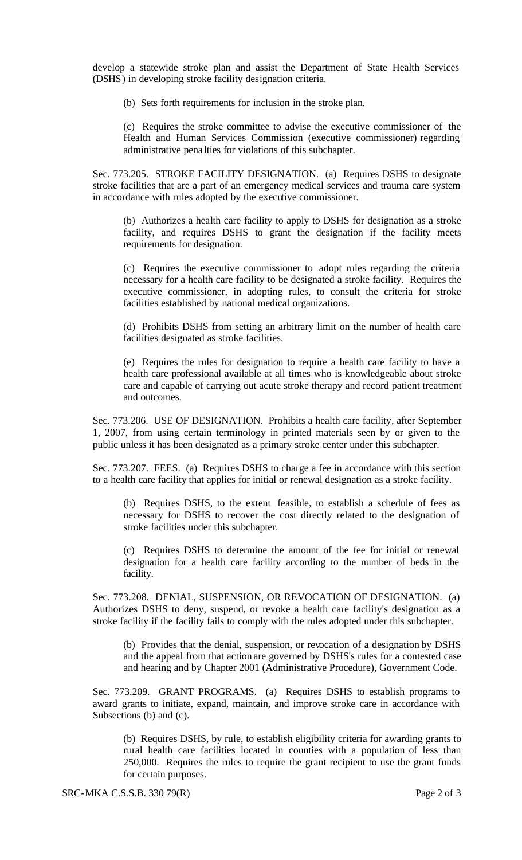develop a statewide stroke plan and assist the Department of State Health Services (DSHS) in developing stroke facility designation criteria.

(b) Sets forth requirements for inclusion in the stroke plan.

(c) Requires the stroke committee to advise the executive commissioner of the Health and Human Services Commission (executive commissioner) regarding administrative pena lties for violations of this subchapter.

Sec. 773.205. STROKE FACILITY DESIGNATION. (a) Requires DSHS to designate stroke facilities that are a part of an emergency medical services and trauma care system in accordance with rules adopted by the executive commissioner.

(b) Authorizes a health care facility to apply to DSHS for designation as a stroke facility, and requires DSHS to grant the designation if the facility meets requirements for designation.

(c) Requires the executive commissioner to adopt rules regarding the criteria necessary for a health care facility to be designated a stroke facility. Requires the executive commissioner, in adopting rules, to consult the criteria for stroke facilities established by national medical organizations.

(d) Prohibits DSHS from setting an arbitrary limit on the number of health care facilities designated as stroke facilities.

(e) Requires the rules for designation to require a health care facility to have a health care professional available at all times who is knowledgeable about stroke care and capable of carrying out acute stroke therapy and record patient treatment and outcomes.

Sec. 773.206. USE OF DESIGNATION. Prohibits a health care facility, after September 1, 2007, from using certain terminology in printed materials seen by or given to the public unless it has been designated as a primary stroke center under this subchapter.

Sec. 773.207. FEES. (a) Requires DSHS to charge a fee in accordance with this section to a health care facility that applies for initial or renewal designation as a stroke facility.

(b) Requires DSHS, to the extent feasible, to establish a schedule of fees as necessary for DSHS to recover the cost directly related to the designation of stroke facilities under this subchapter.

(c) Requires DSHS to determine the amount of the fee for initial or renewal designation for a health care facility according to the number of beds in the facility.

Sec. 773.208. DENIAL, SUSPENSION, OR REVOCATION OF DESIGNATION. (a) Authorizes DSHS to deny, suspend, or revoke a health care facility's designation as a stroke facility if the facility fails to comply with the rules adopted under this subchapter.

(b) Provides that the denial, suspension, or revocation of a designation by DSHS and the appeal from that action are governed by DSHS's rules for a contested case and hearing and by Chapter 2001 (Administrative Procedure), Government Code.

Sec. 773.209. GRANT PROGRAMS. (a) Requires DSHS to establish programs to award grants to initiate, expand, maintain, and improve stroke care in accordance with Subsections (b) and (c).

(b) Requires DSHS, by rule, to establish eligibility criteria for awarding grants to rural health care facilities located in counties with a population of less than 250,000. Requires the rules to require the grant recipient to use the grant funds for certain purposes.